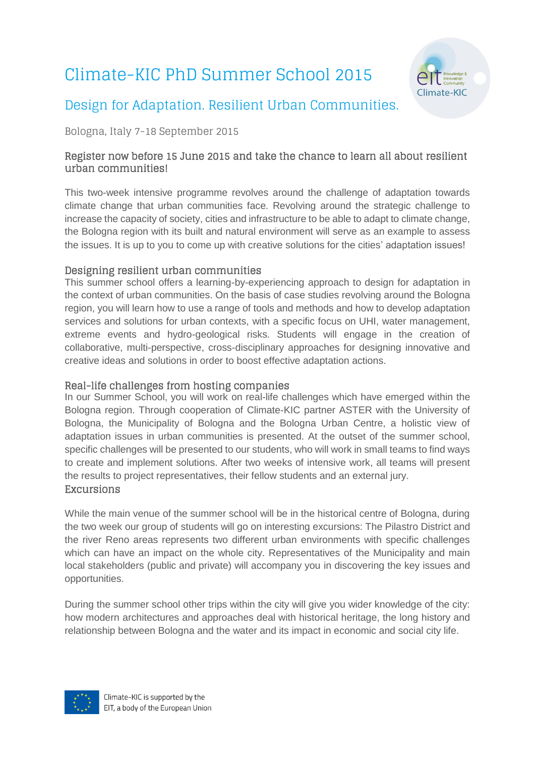# Climate-KIC PhD Summer School 2015



# Design for Adaptation. Resilient Urban Communities.

Bologna, Italy 7-18 September 2015

#### Register now before 15 June 2015 and take the chance to learn all about resilient urban communities!

This two-week intensive programme revolves around the challenge of adaptation towards climate change that urban communities face. Revolving around the strategic challenge to increase the capacity of society, cities and infrastructure to be able to adapt to climate change, the Bologna region with its built and natural environment will serve as an example to assess the issues. It is up to you to come up with creative solutions for the cities' adaptation issues!

#### Designing resilient urban communities

This summer school offers a learning-by-experiencing approach to design for adaptation in the context of urban communities. On the basis of case studies revolving around the Bologna region, you will learn how to use a range of tools and methods and how to develop adaptation services and solutions for urban contexts, with a specific focus on UHI, water management, extreme events and hydro-geological risks. Students will engage in the creation of collaborative, multi-perspective, cross-disciplinary approaches for designing innovative and creative ideas and solutions in order to boost effective adaptation actions.

#### Real-life challenges from hosting companies

In our Summer School, you will work on real-life challenges which have emerged within the Bologna region. Through cooperation of Climate-KIC partner ASTER with the University of Bologna, the Municipality of Bologna and the Bologna Urban Centre, a holistic view of adaptation issues in urban communities is presented. At the outset of the summer school, specific challenges will be presented to our students, who will work in small teams to find ways to create and implement solutions. After two weeks of intensive work, all teams will present the results to project representatives, their fellow students and an external jury. Excursions

While the main venue of the summer school will be in the historical centre of Bologna, during the two week our group of students will go on interesting excursions: The Pilastro District and the river Reno areas represents two different urban environments with specific challenges which can have an impact on the whole city. Representatives of the Municipality and main local stakeholders (public and private) will accompany you in discovering the key issues and opportunities.

During the summer school other trips within the city will give you wider knowledge of the city: how modern architectures and approaches deal with historical heritage, the long history and relationship between Bologna and the water and its impact in economic and social city life.

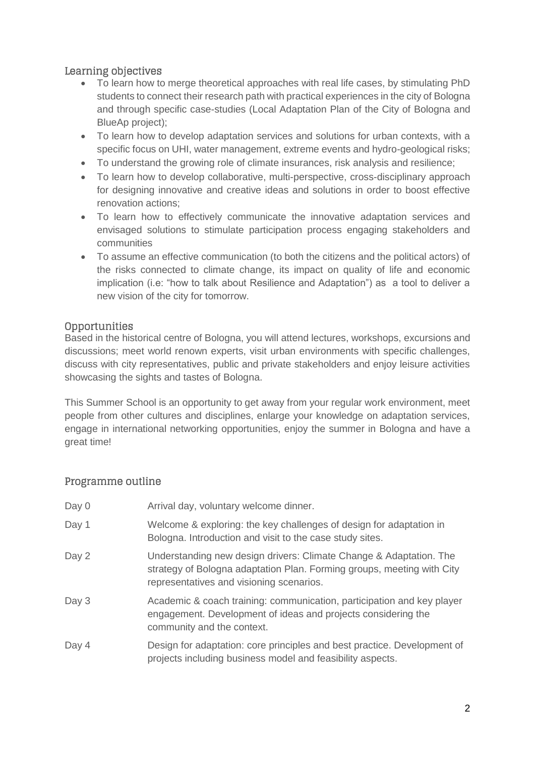### Learning objectives

- To learn how to merge theoretical approaches with real life cases, by stimulating PhD students to connect their research path with practical experiences in the city of Bologna and through specific case-studies (Local Adaptation Plan of the City of Bologna and BlueAp project);
- To learn how to develop adaptation services and solutions for urban contexts, with a specific focus on UHI, water management, extreme events and hydro-geological risks;
- To understand the growing role of climate insurances, risk analysis and resilience;
- To learn how to develop collaborative, multi-perspective, cross-disciplinary approach for designing innovative and creative ideas and solutions in order to boost effective renovation actions;
- To learn how to effectively communicate the innovative adaptation services and envisaged solutions to stimulate participation process engaging stakeholders and communities
- To assume an effective communication (to both the citizens and the political actors) of the risks connected to climate change, its impact on quality of life and economic implication (i.e: "how to talk about Resilience and Adaptation") as a tool to deliver a new vision of the city for tomorrow.

#### Opportunities

Based in the historical centre of Bologna, you will attend lectures, workshops, excursions and discussions; meet world renown experts, visit urban environments with specific challenges, discuss with city representatives, public and private stakeholders and enjoy leisure activities showcasing the sights and tastes of Bologna.

This Summer School is an opportunity to get away from your regular work environment, meet people from other cultures and disciplines, enlarge your knowledge on adaptation services, engage in international networking opportunities, enjoy the summer in Bologna and have a great time!

#### Programme outline

| Day 0 | Arrival day, voluntary welcome dinner.                                                                                                                                                   |
|-------|------------------------------------------------------------------------------------------------------------------------------------------------------------------------------------------|
| Day 1 | Welcome & exploring: the key challenges of design for adaptation in<br>Bologna. Introduction and visit to the case study sites.                                                          |
| Day 2 | Understanding new design drivers: Climate Change & Adaptation. The<br>strategy of Bologna adaptation Plan. Forming groups, meeting with City<br>representatives and visioning scenarios. |
| Day 3 | Academic & coach training: communication, participation and key player<br>engagement. Development of ideas and projects considering the<br>community and the context.                    |
| Day 4 | Design for adaptation: core principles and best practice. Development of<br>projects including business model and feasibility aspects.                                                   |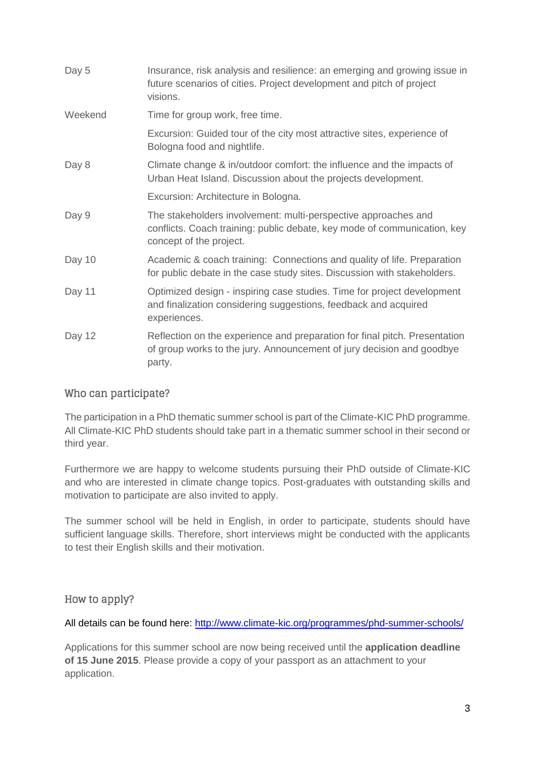| Day 5   | Insurance, risk analysis and resilience: an emerging and growing issue in<br>future scenarios of cities. Project development and pitch of project<br>visions.         |
|---------|-----------------------------------------------------------------------------------------------------------------------------------------------------------------------|
| Weekend | Time for group work, free time.                                                                                                                                       |
|         | Excursion: Guided tour of the city most attractive sites, experience of<br>Bologna food and nightlife.                                                                |
| Day 8   | Climate change & in/outdoor comfort: the influence and the impacts of<br>Urban Heat Island. Discussion about the projects development.                                |
|         | Excursion: Architecture in Bologna.                                                                                                                                   |
| Day 9   | The stakeholders involvement: multi-perspective approaches and<br>conflicts. Coach training: public debate, key mode of communication, key<br>concept of the project. |
| Day 10  | Academic & coach training: Connections and quality of life. Preparation<br>for public debate in the case study sites. Discussion with stakeholders.                   |
| Day 11  | Optimized design - inspiring case studies. Time for project development<br>and finalization considering suggestions, feedback and acquired<br>experiences.            |
| Day 12  | Reflection on the experience and preparation for final pitch. Presentation<br>of group works to the jury. Announcement of jury decision and goodbye<br>party.         |

#### Who can participate?

The participation in a PhD thematic summer school is part of the Climate-KIC PhD programme. All Climate-KIC PhD students should take part in a thematic summer school in their second or third year.

Furthermore we are happy to welcome students pursuing their PhD outside of Climate-KIC and who are interested in climate change topics. Post-graduates with outstanding skills and motivation to participate are also invited to apply.

The summer school will be held in English, in order to participate, students should have sufficient language skills. Therefore, short interviews might be conducted with the applicants to test their English skills and their motivation.

# How to apply?

All details can be found here:<http://www.climate-kic.org/programmes/phd-summer-schools/>

Applications for this summer school are now being received until the **application deadline of 15 June 2015**. Please provide a copy of your passport as an attachment to your application.